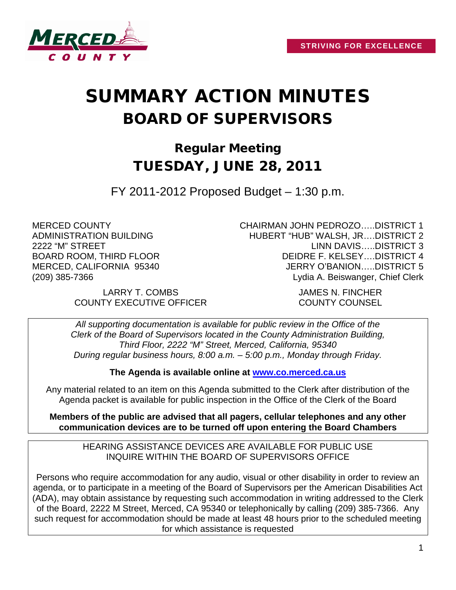

# SUMMARY ACTION MINUTES BOARD OF SUPERVISORS

# Regular Meeting TUESDAY, JUNE 28, 2011

FY 2011-2012 Proposed Budget – 1:30 p.m.

MERCED COUNTY ADMINISTRATION BUILDING 2222 "M" STREET BOARD ROOM, THIRD FLOOR MERCED, CALIFORNIA 95340 (209) 385-7366

LARRY T. COMBS JAMES N. FINCHER COUNTY EXECUTIVE OFFICER COUNTY COUNSEL

CHAIRMAN JOHN PEDROZO…..DISTRICT 1 HUBERT "HUB" WALSH, JR….DISTRICT 2 LINN DAVIS…..DISTRICT 3 DEIDRE F. KELSEY….DISTRICT 4 JERRY O'BANION…..DISTRICT 5 Lydia A. Beiswanger, Chief Clerk

*All supporting documentation is available for public review in the Office of the Clerk of the Board of Supervisors located in the County Administration Building, Third Floor, 2222 "M" Street, Merced, California, 95340 During regular business hours, 8:00 a.m. – 5:00 p.m., Monday through Friday.*

**The Agenda is available online at [www.co.merced.ca.us](http://www.co.merced.ca.us/)**

Any material related to an item on this Agenda submitted to the Clerk after distribution of the Agenda packet is available for public inspection in the Office of the Clerk of the Board

**Members of the public are advised that all pagers, cellular telephones and any other communication devices are to be turned off upon entering the Board Chambers**

HEARING ASSISTANCE DEVICES ARE AVAILABLE FOR PUBLIC USE INQUIRE WITHIN THE BOARD OF SUPERVISORS OFFICE

Persons who require accommodation for any audio, visual or other disability in order to review an agenda, or to participate in a meeting of the Board of Supervisors per the American Disabilities Act (ADA), may obtain assistance by requesting such accommodation in writing addressed to the Clerk of the Board, 2222 M Street, Merced, CA 95340 or telephonically by calling (209) 385-7366. Any such request for accommodation should be made at least 48 hours prior to the scheduled meeting for which assistance is requested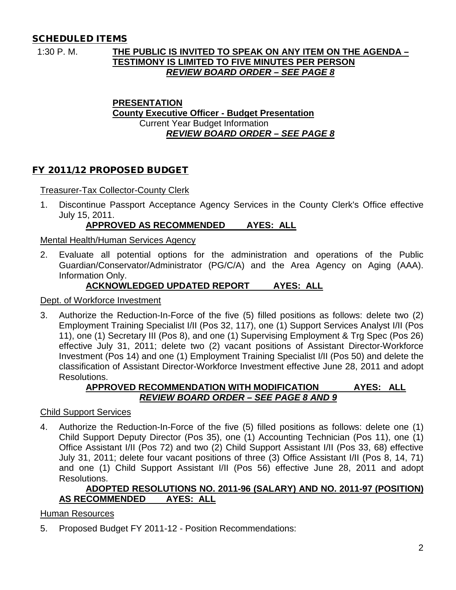## SCHEDULED ITEMS

## 1:30 P. M. **THE PUBLIC IS INVITED TO SPEAK ON ANY ITEM ON THE AGENDA – TESTIMONY IS LIMITED TO FIVE MINUTES PER PERSON** *REVIEW BOARD ORDER – SEE PAGE 8*

#### **PRESENTATION County Executive Officer - Budget Presentation** Current Year Budget Information *REVIEW BOARD ORDER – SEE PAGE 8*

## FY 2011/12 PROPOSED BUDGET

Treasurer-Tax Collector-County Clerk

1. Discontinue Passport Acceptance Agency Services in the County Clerk's Office effective July 15, 2011.

## **APPROVED AS RECOMMENDED AYES: ALL**

Mental Health/Human Services Agency

2. Evaluate all potential options for the administration and operations of the Public Guardian/Conservator/Administrator (PG/C/A) and the Area Agency on Aging (AAA). Information Only.

## **ACKNOWLEDGED UPDATED REPORT AYES: ALL**

Dept. of Workforce Investment

3. Authorize the Reduction-In-Force of the five (5) filled positions as follows: delete two (2) Employment Training Specialist I/II (Pos 32, 117), one (1) Support Services Analyst I/II (Pos 11), one (1) Secretary III (Pos 8), and one (1) Supervising Employment & Trg Spec (Pos 26) effective July 31, 2011; delete two (2) vacant positions of Assistant Director-Workforce Investment (Pos 14) and one (1) Employment Training Specialist I/II (Pos 50) and delete the classification of Assistant Director-Workforce Investment effective June 28, 2011 and adopt Resolutions.

## **APPROVED RECOMMENDATION WITH MODIFICATION AYES: ALL** *REVIEW BOARD ORDER – SEE PAGE 8 AND 9*

Child Support Services

4. Authorize the Reduction-In-Force of the five (5) filled positions as follows: delete one (1) Child Support Deputy Director (Pos 35), one (1) Accounting Technician (Pos 11), one (1) Office Assistant I/II (Pos 72) and two (2) Child Support Assistant I/II (Pos 33, 68) effective July 31, 2011; delete four vacant positions of three (3) Office Assistant I/II (Pos 8, 14, 71) and one (1) Child Support Assistant I/II (Pos 56) effective June 28, 2011 and adopt Resolutions.

## **ADOPTED RESOLUTIONS NO. 2011-96 (SALARY) AND NO. 2011-97 (POSITION) AS RECOMMENDED AYES: ALL**

## Human Resources

5. Proposed Budget FY 2011-12 - Position Recommendations: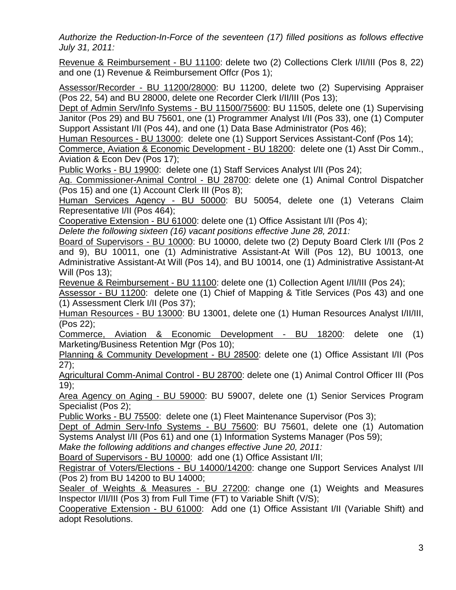*Authorize the Reduction-In-Force of the seventeen (17) filled positions as follows effective July 31, 2011:* 

Revenue & Reimbursement - BU 11100: delete two (2) Collections Clerk I/II/III (Pos 8, 22) and one (1) Revenue & Reimbursement Offcr (Pos 1);

Assessor/Recorder - BU 11200/28000: BU 11200, delete two (2) Supervising Appraiser (Pos 22, 54) and BU 28000, delete one Recorder Clerk I/II/III (Pos 13);

Dept of Admin Serv/Info Systems - BU 11500/75600: BU 11505, delete one (1) Supervising Janitor (Pos 29) and BU 75601, one (1) Programmer Analyst I/II (Pos 33), one (1) Computer Support Assistant I/II (Pos 44), and one (1) Data Base Administrator (Pos 46);

Human Resources - BU 13000: delete one (1) Support Services Assistant-Conf (Pos 14);

Commerce, Aviation & Economic Development - BU 18200: delete one (1) Asst Dir Comm., Aviation & Econ Dev (Pos 17);

Public Works - BU 19900: delete one (1) Staff Services Analyst I/II (Pos 24);

Ag. Commissioner-Animal Control - BU 28700: delete one (1) Animal Control Dispatcher (Pos 15) and one (1) Account Clerk III (Pos 8);

Human Services Agency - BU 50000: BU 50054, delete one (1) Veterans Claim Representative I/II (Pos 464);

Cooperative Extension - BU 61000: delete one (1) Office Assistant I/II (Pos 4);

*Delete the following sixteen (16) vacant positions effective June 28, 2011:*

Board of Supervisors - BU 10000: BU 10000, delete two (2) Deputy Board Clerk I/II (Pos 2 and 9), BU 10011, one (1) Administrative Assistant-At Will (Pos 12), BU 10013, one Administrative Assistant-At Will (Pos 14), and BU 10014, one (1) Administrative Assistant-At Will (Pos 13);

Revenue & Reimbursement - BU 11100: delete one (1) Collection Agent I/II/III (Pos 24);

Assessor - BU 11200: delete one (1) Chief of Mapping & Title Services (Pos 43) and one (1) Assessment Clerk I/II (Pos 37);

Human Resources - BU 13000: BU 13001, delete one (1) Human Resources Analyst I/II/III, (Pos 22);

Commerce, Aviation & Economic Development - BU 18200: delete one (1) Marketing/Business Retention Mgr (Pos 10);

Planning & Community Development - BU 28500: delete one (1) Office Assistant I/II (Pos 27);

Agricultural Comm-Animal Control - BU 28700: delete one (1) Animal Control Officer III (Pos 19);

Area Agency on Aging - BU 59000: BU 59007, delete one (1) Senior Services Program Specialist (Pos 2);

Public Works - BU 75500: delete one (1) Fleet Maintenance Supervisor (Pos 3);

Dept of Admin Serv-Info Systems - BU 75600: BU 75601, delete one (1) Automation Systems Analyst I/II (Pos 61) and one (1) Information Systems Manager (Pos 59);

*Make the following additions and changes effective June 20, 2011:* 

Board of Supervisors - BU 10000: add one (1) Office Assistant I/II;

Registrar of Voters/Elections - BU 14000/14200: change one Support Services Analyst I/II (Pos 2) from BU 14200 to BU 14000;

Sealer of Weights & Measures - BU 27200: change one (1) Weights and Measures Inspector I/II/III (Pos 3) from Full Time (FT) to Variable Shift (V/S);

Cooperative Extension - BU 61000: Add one (1) Office Assistant I/II (Variable Shift) and adopt Resolutions.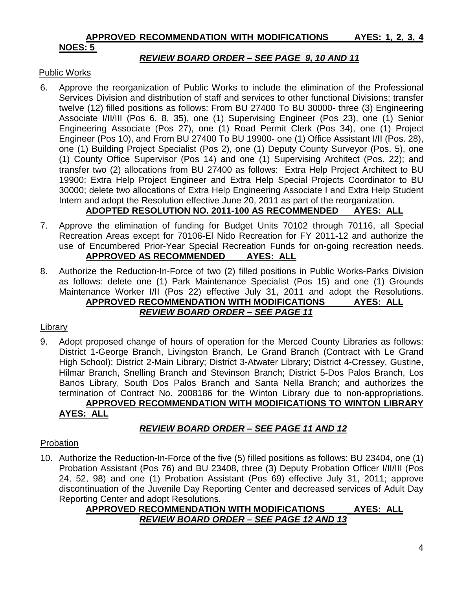## **APPROVED RECOMMENDATION WITH MODIFICATIONS AYES: 1, 2, 3, 4**

## **NOES: 5**

## *REVIEW BOARD ORDER – SEE PAGE 9, 10 AND 11*

#### Public Works

6. Approve the reorganization of Public Works to include the elimination of the Professional Services Division and distribution of staff and services to other functional Divisions; transfer twelve (12) filled positions as follows: From BU 27400 To BU 30000- three (3) Engineering Associate I/II/III (Pos 6, 8, 35), one (1) Supervising Engineer (Pos 23), one (1) Senior Engineering Associate (Pos 27), one (1) Road Permit Clerk (Pos 34), one (1) Project Engineer (Pos 10), and From BU 27400 To BU 19900- one (1) Office Assistant I/II (Pos. 28), one (1) Building Project Specialist (Pos 2), one (1) Deputy County Surveyor (Pos. 5), one (1) County Office Supervisor (Pos 14) and one (1) Supervising Architect (Pos. 22); and transfer two (2) allocations from BU 27400 as follows: Extra Help Project Architect to BU 19900: Extra Help Project Engineer and Extra Help Special Projects Coordinator to BU 30000; delete two allocations of Extra Help Engineering Associate I and Extra Help Student Intern and adopt the Resolution effective June 20, 2011 as part of the reorganization.

## **ADOPTED RESOLUTION NO. 2011-100 AS RECOMMENDED AYES: ALL**

- 7. Approve the elimination of funding for Budget Units 70102 through 70116, all Special Recreation Areas except for 70106-El Nido Recreation for FY 2011-12 and authorize the use of Encumbered Prior-Year Special Recreation Funds for on-going recreation needs. **APPROVED AS RECOMMENDED AYES: ALL**
- 8. Authorize the Reduction-In-Force of two (2) filled positions in Public Works-Parks Division as follows: delete one (1) Park Maintenance Specialist (Pos 15) and one (1) Grounds Maintenance Worker I/II (Pos 22) effective July 31, 2011 and adopt the Resolutions. **APPROVED RECOMMENDATION WITH MODIFICATIONS AYES: ALL** *REVIEW BOARD ORDER – SEE PAGE 11*

## Library

9. Adopt proposed change of hours of operation for the Merced County Libraries as follows: District 1-George Branch, Livingston Branch, Le Grand Branch (Contract with Le Grand High School); District 2-Main Library; District 3-Atwater Library; District 4-Cressey, Gustine, Hilmar Branch, Snelling Branch and Stevinson Branch; District 5-Dos Palos Branch, Los Banos Library, South Dos Palos Branch and Santa Nella Branch; and authorizes the termination of Contract No. 2008186 for the Winton Library due to non-appropriations. **APPROVED RECOMMENDATION WITH MODIFICATIONS TO WINTON LIBRARY**

## **AYES: ALL**

## *REVIEW BOARD ORDER – SEE PAGE 11 AND 12*

## Probation

10. Authorize the Reduction-In-Force of the five (5) filled positions as follows: BU 23404, one (1) Probation Assistant (Pos 76) and BU 23408, three (3) Deputy Probation Officer I/II/III (Pos 24, 52, 98) and one (1) Probation Assistant (Pos 69) effective July 31, 2011; approve discontinuation of the Juvenile Day Reporting Center and decreased services of Adult Day Reporting Center and adopt Resolutions.

## **APPROVED RECOMMENDATION WITH MODIFICATIONS AYES: ALL** *REVIEW BOARD ORDER – SEE PAGE 12 AND 13*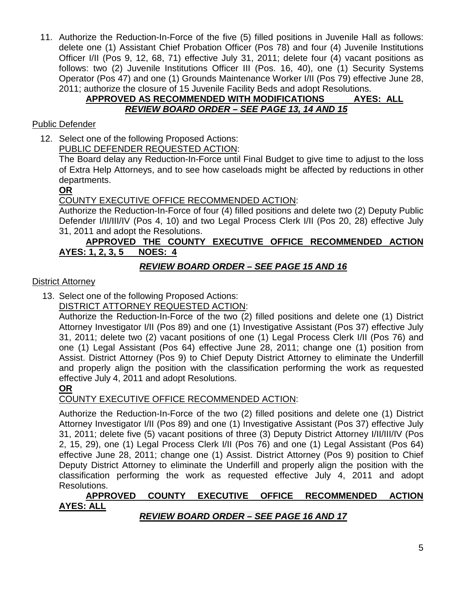11. Authorize the Reduction-In-Force of the five (5) filled positions in Juvenile Hall as follows: delete one (1) Assistant Chief Probation Officer (Pos 78) and four (4) Juvenile Institutions Officer I/II (Pos 9, 12, 68, 71) effective July 31, 2011; delete four (4) vacant positions as follows: two (2) Juvenile Institutions Officer III (Pos. 16, 40), one (1) Security Systems Operator (Pos 47) and one (1) Grounds Maintenance Worker I/II (Pos 79) effective June 28, 2011; authorize the closure of 15 Juvenile Facility Beds and adopt Resolutions.

## **APPROVED AS RECOMMENDED WITH MODIFICATIONS AYES: ALL** *REVIEW BOARD ORDER – SEE PAGE 13, 14 AND 15*

## Public Defender

12. Select one of the following Proposed Actions: PUBLIC DEFENDER REQUESTED ACTION:

The Board delay any Reduction-In-Force until Final Budget to give time to adjust to the loss of Extra Help Attorneys, and to see how caseloads might be affected by reductions in other departments.

## **OR**

## COUNTY EXECUTIVE OFFICE RECOMMENDED ACTION:

Authorize the Reduction-In-Force of four (4) filled positions and delete two (2) Deputy Public Defender I/II/III/IV (Pos 4, 10) and two Legal Process Clerk I/II (Pos 20, 28) effective July 31, 2011 and adopt the Resolutions.

## **APPROVED THE COUNTY EXECUTIVE OFFICE RECOMMENDED ACTION AYES: 1, 2, 3, 5 NOES: 4**

## *REVIEW BOARD ORDER – SEE PAGE 15 AND 16*

**District Attorney** 

13. Select one of the following Proposed Actions:

DISTRICT ATTORNEY REQUESTED ACTION:

Authorize the Reduction-In-Force of the two (2) filled positions and delete one (1) District Attorney Investigator I/II (Pos 89) and one (1) Investigative Assistant (Pos 37) effective July 31, 2011; delete two (2) vacant positions of one (1) Legal Process Clerk I/II (Pos 76) and one (1) Legal Assistant (Pos 64) effective June 28, 2011; change one (1) position from Assist. District Attorney (Pos 9) to Chief Deputy District Attorney to eliminate the Underfill and properly align the position with the classification performing the work as requested effective July 4, 2011 and adopt Resolutions.

**OR**

## COUNTY EXECUTIVE OFFICE RECOMMENDED ACTION:

Authorize the Reduction-In-Force of the two (2) filled positions and delete one (1) District Attorney Investigator I/II (Pos 89) and one (1) Investigative Assistant (Pos 37) effective July 31, 2011; delete five (5) vacant positions of three (3) Deputy District Attorney I/II/III/IV (Pos 2, 15, 29), one (1) Legal Process Clerk I/II (Pos 76) and one (1) Legal Assistant (Pos 64) effective June 28, 2011; change one (1) Assist. District Attorney (Pos 9) position to Chief Deputy District Attorney to eliminate the Underfill and properly align the position with the classification performing the work as requested effective July 4, 2011 and adopt Resolutions.

## **APPROVED COUNTY EXECUTIVE OFFICE RECOMMENDED ACTION AYES: ALL**

## *REVIEW BOARD ORDER – SEE PAGE 16 AND 17*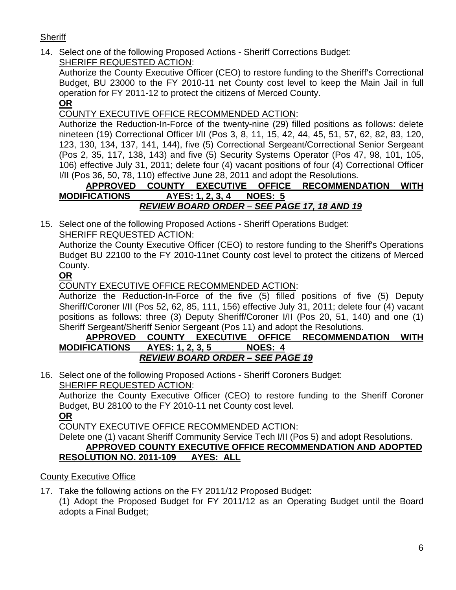## **Sheriff**

14. Select one of the following Proposed Actions - Sheriff Corrections Budget: SHERIFF REQUESTED ACTION:

Authorize the County Executive Officer (CEO) to restore funding to the Sheriff's Correctional Budget, BU 23000 to the FY 2010-11 net County cost level to keep the Main Jail in full operation for FY 2011-12 to protect the citizens of Merced County.

**OR**

## COUNTY EXECUTIVE OFFICE RECOMMENDED ACTION:

Authorize the Reduction-In-Force of the twenty-nine (29) filled positions as follows: delete nineteen (19) Correctional Officer I/II (Pos 3, 8, 11, 15, 42, 44, 45, 51, 57, 62, 82, 83, 120, 123, 130, 134, 137, 141, 144), five (5) Correctional Sergeant/Correctional Senior Sergeant (Pos 2, 35, 117, 138, 143) and five (5) Security Systems Operator (Pos 47, 98, 101, 105, 106) effective July 31, 2011; delete four (4) vacant positions of four (4) Correctional Officer I/II (Pos 36, 50, 78, 110) effective June 28, 2011 and adopt the Resolutions.

## **APPROVED COUNTY EXECUTIVE OFFICE RECOMMENDATION WITH MODIFICATIONS AYES: 1, 2, 3, 4 NOES: 5**

## *REVIEW BOARD ORDER – SEE PAGE 17, 18 AND 19*

15. Select one of the following Proposed Actions - Sheriff Operations Budget: SHERIFF REQUESTED ACTION:

Authorize the County Executive Officer (CEO) to restore funding to the Sheriff's Operations Budget BU 22100 to the FY 2010-11net County cost level to protect the citizens of Merced County.

## **OR**

COUNTY EXECUTIVE OFFICE RECOMMENDED ACTION:

Authorize the Reduction-In-Force of the five (5) filled positions of five (5) Deputy Sheriff/Coroner I/II (Pos 52, 62, 85, 111, 156) effective July 31, 2011; delete four (4) vacant positions as follows: three (3) Deputy Sheriff/Coroner I/II (Pos 20, 51, 140) and one (1) Sheriff Sergeant/Sheriff Senior Sergeant (Pos 11) and adopt the Resolutions.

#### **APPROVED COUNTY EXECUTIVE OFFICE RECOMMENDATION WITH MODIFICATIONS AYES: 1, 2, 3, 5 NOES: 4** *REVIEW BOARD ORDER – SEE PAGE 19*

16. Select one of the following Proposed Actions - Sheriff Coroners Budget: SHERIFF REQUESTED ACTION:

Authorize the County Executive Officer (CEO) to restore funding to the Sheriff Coroner Budget, BU 28100 to the FY 2010-11 net County cost level.

**OR**

COUNTY EXECUTIVE OFFICE RECOMMENDED ACTION:

#### Delete one (1) vacant Sheriff Community Service Tech I/II (Pos 5) and adopt Resolutions. **APPROVED COUNTY EXECUTIVE OFFICE RECOMMENDATION AND ADOPTED RESOLUTION NO. 2011-109 AYES: ALL**

## County Executive Office

17. Take the following actions on the FY 2011/12 Proposed Budget: (1) Adopt the Proposed Budget for FY 2011/12 as an Operating Budget until the Board adopts a Final Budget;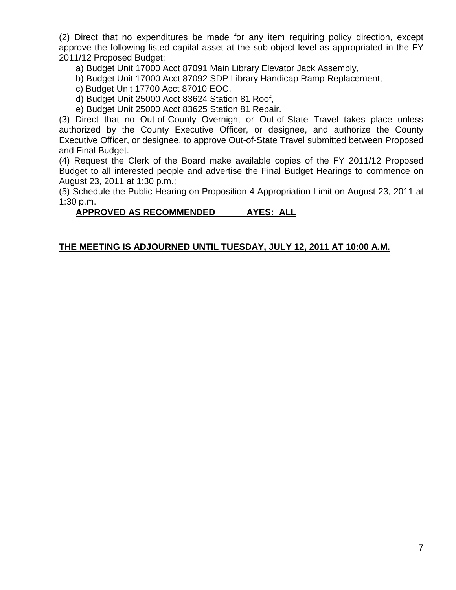(2) Direct that no expenditures be made for any item requiring policy direction, except approve the following listed capital asset at the sub-object level as appropriated in the FY 2011/12 Proposed Budget:

- a) Budget Unit 17000 Acct 87091 Main Library Elevator Jack Assembly,
- b) Budget Unit 17000 Acct 87092 SDP Library Handicap Ramp Replacement,
- c) Budget Unit 17700 Acct 87010 EOC,
- d) Budget Unit 25000 Acct 83624 Station 81 Roof,
- e) Budget Unit 25000 Acct 83625 Station 81 Repair.

(3) Direct that no Out-of-County Overnight or Out-of-State Travel takes place unless authorized by the County Executive Officer, or designee, and authorize the County Executive Officer, or designee, to approve Out-of-State Travel submitted between Proposed and Final Budget.

(4) Request the Clerk of the Board make available copies of the FY 2011/12 Proposed Budget to all interested people and advertise the Final Budget Hearings to commence on August 23, 2011 at 1:30 p.m.;

(5) Schedule the Public Hearing on Proposition 4 Appropriation Limit on August 23, 2011 at 1:30 p.m.

#### **APPROVED AS RECOMMENDED AYES: ALL**

#### **THE MEETING IS ADJOURNED UNTIL TUESDAY, JULY 12, 2011 AT 10:00 A.M.**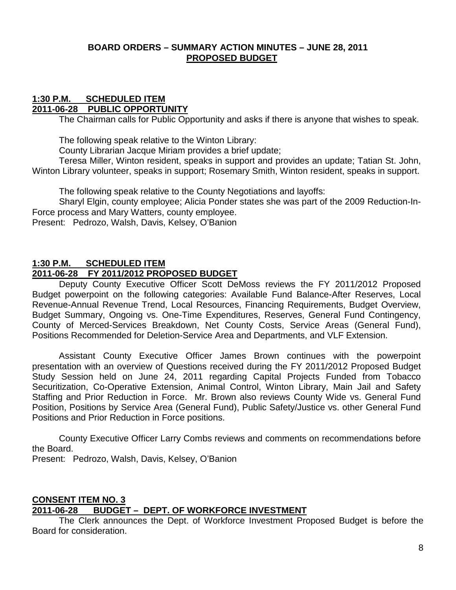#### **BOARD ORDERS – SUMMARY ACTION MINUTES – JUNE 28, 2011 PROPOSED BUDGET**

#### **1:30 P.M. SCHEDULED ITEM 2011-06-28 PUBLIC OPPORTUNITY**

The Chairman calls for Public Opportunity and asks if there is anyone that wishes to speak.

The following speak relative to the Winton Library:

County Librarian Jacque Miriam provides a brief update;

Teresa Miller, Winton resident, speaks in support and provides an update; Tatian St. John, Winton Library volunteer, speaks in support; Rosemary Smith, Winton resident, speaks in support.

The following speak relative to the County Negotiations and layoffs:

Sharyl Elgin, county employee; Alicia Ponder states she was part of the 2009 Reduction-In-Force process and Mary Watters, county employee.

Present: Pedrozo, Walsh, Davis, Kelsey, O'Banion

#### **1:30 P.M. SCHEDULED ITEM**

## **2011-06-28 FY 2011/2012 PROPOSED BUDGET**

Deputy County Executive Officer Scott DeMoss reviews the FY 2011/2012 Proposed Budget powerpoint on the following categories: Available Fund Balance-After Reserves, Local Revenue-Annual Revenue Trend, Local Resources, Financing Requirements, Budget Overview, Budget Summary, Ongoing vs. One-Time Expenditures, Reserves, General Fund Contingency, County of Merced-Services Breakdown, Net County Costs, Service Areas (General Fund), Positions Recommended for Deletion-Service Area and Departments, and VLF Extension.

Assistant County Executive Officer James Brown continues with the powerpoint presentation with an overview of Questions received during the FY 2011/2012 Proposed Budget Study Session held on June 24, 2011 regarding Capital Projects Funded from Tobacco Securitization, Co-Operative Extension, Animal Control, Winton Library, Main Jail and Safety Staffing and Prior Reduction in Force. Mr. Brown also reviews County Wide vs. General Fund Position, Positions by Service Area (General Fund), Public Safety/Justice vs. other General Fund Positions and Prior Reduction in Force positions.

County Executive Officer Larry Combs reviews and comments on recommendations before the Board.

Present: Pedrozo, Walsh, Davis, Kelsey, O'Banion

#### **CONSENT ITEM NO. 3 2011-06-28 BUDGET – DEPT. OF WORKFORCE INVESTMENT**

The Clerk announces the Dept. of Workforce Investment Proposed Budget is before the Board for consideration.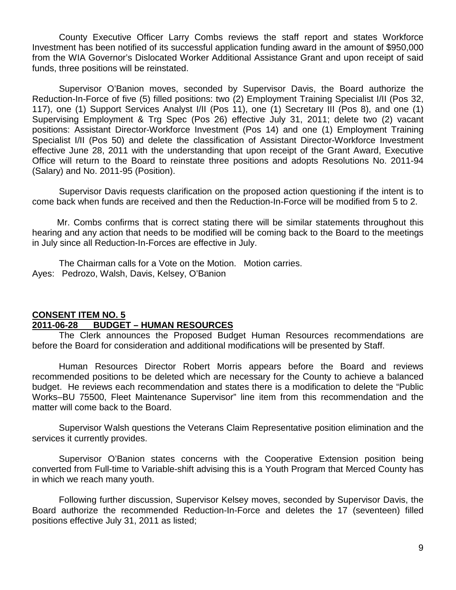County Executive Officer Larry Combs reviews the staff report and states Workforce Investment has been notified of its successful application funding award in the amount of \$950,000 from the WIA Governor's Dislocated Worker Additional Assistance Grant and upon receipt of said funds, three positions will be reinstated.

Supervisor O'Banion moves, seconded by Supervisor Davis, the Board authorize the Reduction-In-Force of five (5) filled positions: two (2) Employment Training Specialist I/II (Pos 32, 117), one (1) Support Services Analyst I/II (Pos 11), one (1) Secretary III (Pos 8), and one (1) Supervising Employment & Trg Spec (Pos 26) effective July 31, 2011; delete two (2) vacant positions: Assistant Director-Workforce Investment (Pos 14) and one (1) Employment Training Specialist I/II (Pos 50) and delete the classification of Assistant Director-Workforce Investment effective June 28, 2011 with the understanding that upon receipt of the Grant Award, Executive Office will return to the Board to reinstate three positions and adopts Resolutions No. 2011-94 (Salary) and No. 2011-95 (Position).

Supervisor Davis requests clarification on the proposed action questioning if the intent is to come back when funds are received and then the Reduction-In-Force will be modified from 5 to 2.

 Mr. Combs confirms that is correct stating there will be similar statements throughout this hearing and any action that needs to be modified will be coming back to the Board to the meetings in July since all Reduction-In-Forces are effective in July.

The Chairman calls for a Vote on the Motion. Motion carries. Ayes: Pedrozo, Walsh, Davis, Kelsey, O'Banion

## **CONSENT ITEM NO. 5 2011-06-28 BUDGET – HUMAN RESOURCES**

The Clerk announces the Proposed Budget Human Resources recommendations are before the Board for consideration and additional modifications will be presented by Staff.

Human Resources Director Robert Morris appears before the Board and reviews recommended positions to be deleted which are necessary for the County to achieve a balanced budget. He reviews each recommendation and states there is a modification to delete the "Public Works–BU 75500, Fleet Maintenance Supervisor" line item from this recommendation and the matter will come back to the Board.

Supervisor Walsh questions the Veterans Claim Representative position elimination and the services it currently provides.

Supervisor O'Banion states concerns with the Cooperative Extension position being converted from Full-time to Variable-shift advising this is a Youth Program that Merced County has in which we reach many youth.

Following further discussion, Supervisor Kelsey moves, seconded by Supervisor Davis, the Board authorize the recommended Reduction-In-Force and deletes the 17 (seventeen) filled positions effective July 31, 2011 as listed;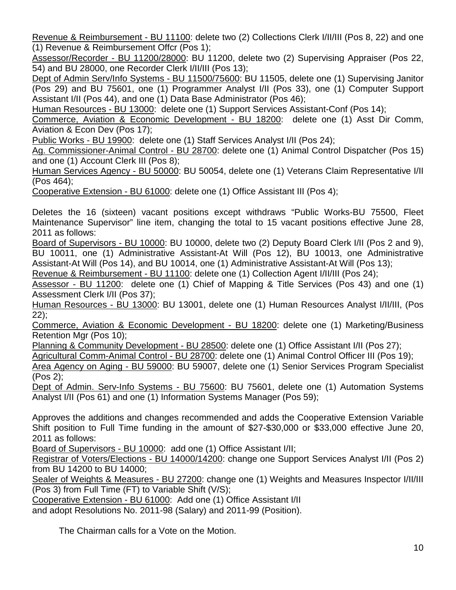Revenue & Reimbursement - BU 11100: delete two (2) Collections Clerk I/II/III (Pos 8, 22) and one (1) Revenue & Reimbursement Offcr (Pos 1);

Assessor/Recorder - BU 11200/28000: BU 11200, delete two (2) Supervising Appraiser (Pos 22, 54) and BU 28000, one Recorder Clerk I/II/III (Pos 13);

Dept of Admin Serv/Info Systems - BU 11500/75600: BU 11505, delete one (1) Supervising Janitor (Pos 29) and BU 75601, one (1) Programmer Analyst I/II (Pos 33), one (1) Computer Support Assistant I/II (Pos 44), and one (1) Data Base Administrator (Pos 46);

Human Resources - BU 13000: delete one (1) Support Services Assistant-Conf (Pos 14);

Commerce, Aviation & Economic Development - BU 18200: delete one (1) Asst Dir Comm, Aviation & Econ Dev (Pos 17);

Public Works - BU 19900: delete one (1) Staff Services Analyst I/II (Pos 24);

Ag. Commissioner-Animal Control - BU 28700: delete one (1) Animal Control Dispatcher (Pos 15) and one (1) Account Clerk III (Pos 8);

Human Services Agency - BU 50000: BU 50054, delete one (1) Veterans Claim Representative I/II (Pos 464);

Cooperative Extension - BU 61000: delete one (1) Office Assistant III (Pos 4);

Deletes the 16 (sixteen) vacant positions except withdraws "Public Works-BU 75500, Fleet Maintenance Supervisor" line item, changing the total to 15 vacant positions effective June 28, 2011 as follows:

Board of Supervisors - BU 10000: BU 10000, delete two (2) Deputy Board Clerk I/II (Pos 2 and 9), BU 10011, one (1) Administrative Assistant-At Will (Pos 12), BU 10013, one Administrative Assistant-At Will (Pos 14), and BU 10014, one (1) Administrative Assistant-At Will (Pos 13);

Revenue & Reimbursement - BU 11100: delete one (1) Collection Agent I/II/III (Pos 24);

Assessor - BU 11200: delete one (1) Chief of Mapping & Title Services (Pos 43) and one (1) Assessment Clerk I/II (Pos 37);

Human Resources - BU 13000: BU 13001, delete one (1) Human Resources Analyst I/II/III, (Pos 22);

Commerce, Aviation & Economic Development - BU 18200: delete one (1) Marketing/Business Retention Mgr (Pos 10);

Planning & Community Development - BU 28500: delete one (1) Office Assistant I/II (Pos 27);

Agricultural Comm-Animal Control - BU 28700: delete one (1) Animal Control Officer III (Pos 19);

Area Agency on Aging - BU 59000: BU 59007, delete one (1) Senior Services Program Specialist (Pos 2);

Dept of Admin. Serv-Info Systems - BU 75600: BU 75601, delete one (1) Automation Systems Analyst I/II (Pos 61) and one (1) Information Systems Manager (Pos 59);

Approves the additions and changes recommended and adds the Cooperative Extension Variable Shift position to Full Time funding in the amount of \$27-\$30,000 or \$33,000 effective June 20, 2011 as follows:

Board of Supervisors - BU 10000: add one (1) Office Assistant I/II;

Registrar of Voters/Elections - BU 14000/14200: change one Support Services Analyst I/II (Pos 2) from BU 14200 to BU 14000;

Sealer of Weights & Measures - BU 27200: change one (1) Weights and Measures Inspector I/II/III (Pos 3) from Full Time (FT) to Variable Shift (V/S);

Cooperative Extension - BU 61000: Add one (1) Office Assistant I/II

and adopt Resolutions No. 2011-98 (Salary) and 2011-99 (Position).

The Chairman calls for a Vote on the Motion.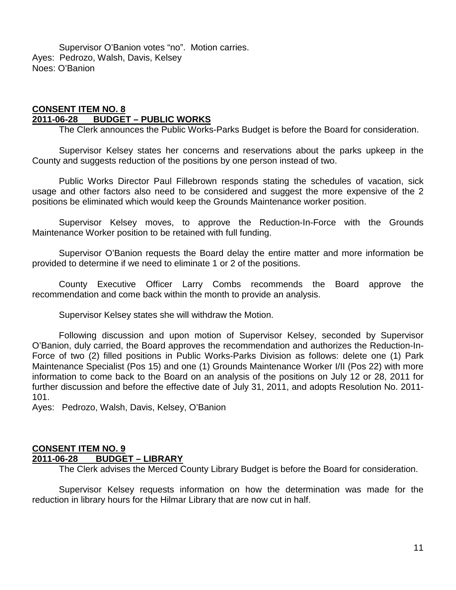Supervisor O'Banion votes "no". Motion carries. Ayes: Pedrozo, Walsh, Davis, Kelsey Noes: O'Banion

#### **CONSENT ITEM NO. 8 2011-06-28 BUDGET – PUBLIC WORKS**

The Clerk announces the Public Works-Parks Budget is before the Board for consideration.

Supervisor Kelsey states her concerns and reservations about the parks upkeep in the County and suggests reduction of the positions by one person instead of two.

Public Works Director Paul Fillebrown responds stating the schedules of vacation, sick usage and other factors also need to be considered and suggest the more expensive of the 2 positions be eliminated which would keep the Grounds Maintenance worker position.

Supervisor Kelsey moves, to approve the Reduction-In-Force with the Grounds Maintenance Worker position to be retained with full funding.

Supervisor O'Banion requests the Board delay the entire matter and more information be provided to determine if we need to eliminate 1 or 2 of the positions.

County Executive Officer Larry Combs recommends the Board approve the recommendation and come back within the month to provide an analysis.

Supervisor Kelsey states she will withdraw the Motion.

Following discussion and upon motion of Supervisor Kelsey, seconded by Supervisor O'Banion, duly carried, the Board approves the recommendation and authorizes the Reduction-In-Force of two (2) filled positions in Public Works-Parks Division as follows: delete one (1) Park Maintenance Specialist (Pos 15) and one (1) Grounds Maintenance Worker I/II (Pos 22) with more information to come back to the Board on an analysis of the positions on July 12 or 28, 2011 for further discussion and before the effective date of July 31, 2011, and adopts Resolution No. 2011- 101.

Ayes: Pedrozo, Walsh, Davis, Kelsey, O'Banion

## **CONSENT ITEM NO. 9 2011-06-28 BUDGET – LIBRARY**

The Clerk advises the Merced County Library Budget is before the Board for consideration.

Supervisor Kelsey requests information on how the determination was made for the reduction in library hours for the Hilmar Library that are now cut in half.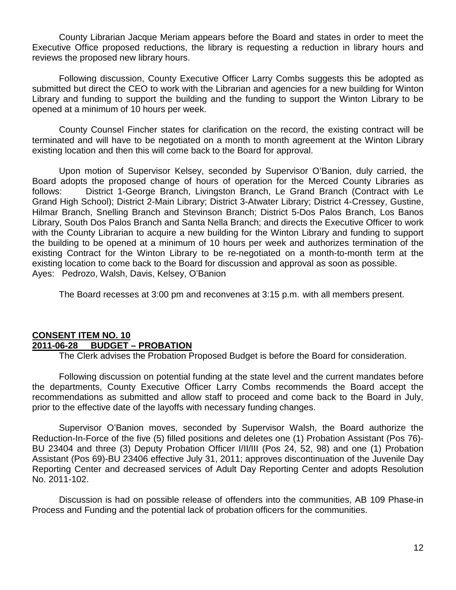County Librarian Jacque Meriam appears before the Board and states in order to meet the Executive Office proposed reductions, the library is requesting a reduction in library hours and reviews the proposed new library hours.

Following discussion, County Executive Officer Larry Combs suggests this be adopted as submitted but direct the CEO to work with the Librarian and agencies for a new building for Winton Library and funding to support the building and the funding to support the Winton Library to be opened at a minimum of 10 hours per week.

County Counsel Fincher states for clarification on the record, the existing contract will be terminated and will have to be negotiated on a month to month agreement at the Winton Library existing location and then this will come back to the Board for approval.

Upon motion of Supervisor Kelsey, seconded by Supervisor O'Banion, duly carried, the Board adopts the proposed change of hours of operation for the Merced County Libraries as follows: District 1-George Branch, Livingston Branch, Le Grand Branch (Contract with Le Grand High School); District 2-Main Library; District 3-Atwater Library; District 4-Cressey, Gustine, Hilmar Branch, Snelling Branch and Stevinson Branch; District 5-Dos Palos Branch, Los Banos Library, South Dos Palos Branch and Santa Nella Branch; and directs the Executive Officer to work with the County Librarian to acquire a new building for the Winton Library and funding to support the building to be opened at a minimum of 10 hours per week and authorizes termination of the existing Contract for the Winton Library to be re-negotiated on a month-to-month term at the existing location to come back to the Board for discussion and approval as soon as possible. Ayes: Pedrozo, Walsh, Davis, Kelsey, O'Banion

The Board recesses at 3:00 pm and reconvenes at 3:15 p.m. with all members present.

## **CONSENT ITEM NO. 10 2011-06-28 BUDGET – PROBATION**

The Clerk advises the Probation Proposed Budget is before the Board for consideration.

Following discussion on potential funding at the state level and the current mandates before the departments, County Executive Officer Larry Combs recommends the Board accept the recommendations as submitted and allow staff to proceed and come back to the Board in July, prior to the effective date of the layoffs with necessary funding changes.

Supervisor O'Banion moves, seconded by Supervisor Walsh, the Board authorize the Reduction-In-Force of the five (5) filled positions and deletes one (1) Probation Assistant (Pos 76)- BU 23404 and three (3) Deputy Probation Officer I/II/III (Pos 24, 52, 98) and one (1) Probation Assistant (Pos 69)-BU 23406 effective July 31, 2011; approves discontinuation of the Juvenile Day Reporting Center and decreased services of Adult Day Reporting Center and adopts Resolution No. 2011-102.

Discussion is had on possible release of offenders into the communities, AB 109 Phase-in Process and Funding and the potential lack of probation officers for the communities.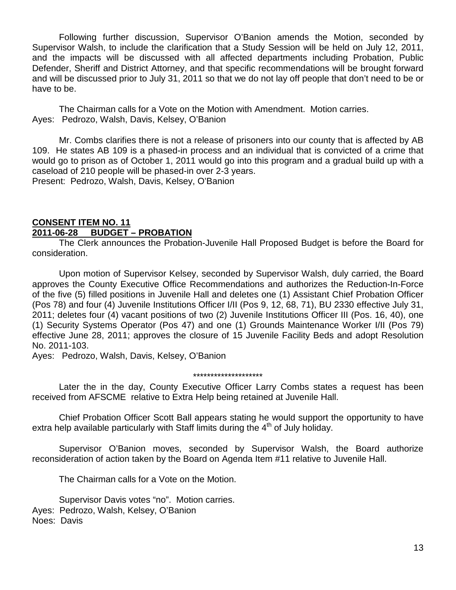Following further discussion, Supervisor O'Banion amends the Motion, seconded by Supervisor Walsh, to include the clarification that a Study Session will be held on July 12, 2011, and the impacts will be discussed with all affected departments including Probation, Public Defender, Sheriff and District Attorney, and that specific recommendations will be brought forward and will be discussed prior to July 31, 2011 so that we do not lay off people that don't need to be or have to be.

The Chairman calls for a Vote on the Motion with Amendment. Motion carries. Ayes: Pedrozo, Walsh, Davis, Kelsey, O'Banion

Mr. Combs clarifies there is not a release of prisoners into our county that is affected by AB 109. He states AB 109 is a phased-in process and an individual that is convicted of a crime that would go to prison as of October 1, 2011 would go into this program and a gradual build up with a caseload of 210 people will be phased-in over 2-3 years. Present: Pedrozo, Walsh, Davis, Kelsey, O'Banion

#### **CONSENT ITEM NO. 11 2011-06-28 BUDGET – PROBATION**

The Clerk announces the Probation-Juvenile Hall Proposed Budget is before the Board for consideration.

Upon motion of Supervisor Kelsey, seconded by Supervisor Walsh, duly carried, the Board approves the County Executive Office Recommendations and authorizes the Reduction-In-Force of the five (5) filled positions in Juvenile Hall and deletes one (1) Assistant Chief Probation Officer (Pos 78) and four (4) Juvenile Institutions Officer I/II (Pos 9, 12, 68, 71), BU 2330 effective July 31, 2011; deletes four (4) vacant positions of two (2) Juvenile Institutions Officer III (Pos. 16, 40), one (1) Security Systems Operator (Pos 47) and one (1) Grounds Maintenance Worker I/II (Pos 79) effective June 28, 2011; approves the closure of 15 Juvenile Facility Beds and adopt Resolution No. 2011-103.

Ayes: Pedrozo, Walsh, Davis, Kelsey, O'Banion

#### \*\*\*\*\*\*\*\*\*\*\*\*\*\*\*\*\*\*\*\*

Later the in the day, County Executive Officer Larry Combs states a request has been received from AFSCME relative to Extra Help being retained at Juvenile Hall.

Chief Probation Officer Scott Ball appears stating he would support the opportunity to have extra help available particularly with Staff limits during the  $4<sup>th</sup>$  of July holiday.

Supervisor O'Banion moves, seconded by Supervisor Walsh, the Board authorize reconsideration of action taken by the Board on Agenda Item #11 relative to Juvenile Hall.

The Chairman calls for a Vote on the Motion.

Supervisor Davis votes "no". Motion carries. Ayes: Pedrozo, Walsh, Kelsey, O'Banion Noes: Davis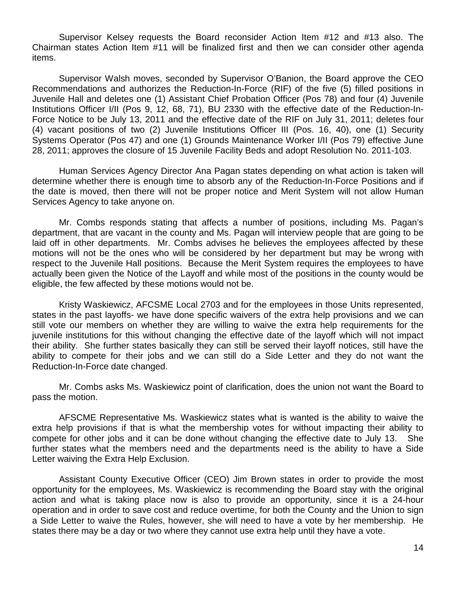Supervisor Kelsey requests the Board reconsider Action Item #12 and #13 also. The Chairman states Action Item #11 will be finalized first and then we can consider other agenda items.

Supervisor Walsh moves, seconded by Supervisor O'Banion, the Board approve the CEO Recommendations and authorizes the Reduction-In-Force (RIF) of the five (5) filled positions in Juvenile Hall and deletes one (1) Assistant Chief Probation Officer (Pos 78) and four (4) Juvenile Institutions Officer I/II (Pos 9, 12, 68, 71), BU 2330 with the effective date of the Reduction-In-Force Notice to be July 13, 2011 and the effective date of the RIF on July 31, 2011; deletes four (4) vacant positions of two (2) Juvenile Institutions Officer III (Pos. 16, 40), one (1) Security Systems Operator (Pos 47) and one (1) Grounds Maintenance Worker I/II (Pos 79) effective June 28, 2011; approves the closure of 15 Juvenile Facility Beds and adopt Resolution No. 2011-103.

Human Services Agency Director Ana Pagan states depending on what action is taken will determine whether there is enough time to absorb any of the Reduction-In-Force Positions and if the date is moved, then there will not be proper notice and Merit System will not allow Human Services Agency to take anyone on.

Mr. Combs responds stating that affects a number of positions, including Ms. Pagan's department, that are vacant in the county and Ms. Pagan will interview people that are going to be laid off in other departments. Mr. Combs advises he believes the employees affected by these motions will not be the ones who will be considered by her department but may be wrong with respect to the Juvenile Hall positions. Because the Merit System requires the employees to have actually been given the Notice of the Layoff and while most of the positions in the county would be eligible, the few affected by these motions would not be.

Kristy Waskiewicz, AFCSME Local 2703 and for the employees in those Units represented, states in the past layoffs- we have done specific waivers of the extra help provisions and we can still vote our members on whether they are willing to waive the extra help requirements for the juvenile institutions for this without changing the effective date of the layoff which will not impact their ability. She further states basically they can still be served their layoff notices, still have the ability to compete for their jobs and we can still do a Side Letter and they do not want the Reduction-In-Force date changed.

Mr. Combs asks Ms. Waskiewicz point of clarification, does the union not want the Board to pass the motion.

AFSCME Representative Ms. Waskiewicz states what is wanted is the ability to waive the extra help provisions if that is what the membership votes for without impacting their ability to compete for other jobs and it can be done without changing the effective date to July 13. She further states what the members need and the departments need is the ability to have a Side Letter waiving the Extra Help Exclusion.

Assistant County Executive Officer (CEO) Jim Brown states in order to provide the most opportunity for the employees, Ms. Waskiewicz is recommending the Board stay with the original action and what is taking place now is also to provide an opportunity, since it is a 24-hour operation and in order to save cost and reduce overtime, for both the County and the Union to sign a Side Letter to waive the Rules, however, she will need to have a vote by her membership. He states there may be a day or two where they cannot use extra help until they have a vote.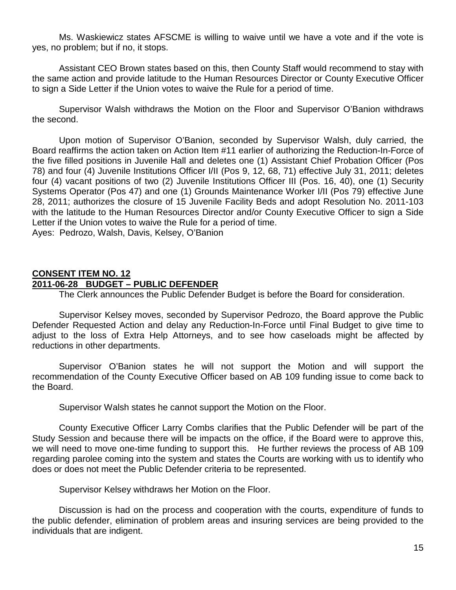Ms. Waskiewicz states AFSCME is willing to waive until we have a vote and if the vote is yes, no problem; but if no, it stops.

Assistant CEO Brown states based on this, then County Staff would recommend to stay with the same action and provide latitude to the Human Resources Director or County Executive Officer to sign a Side Letter if the Union votes to waive the Rule for a period of time.

Supervisor Walsh withdraws the Motion on the Floor and Supervisor O'Banion withdraws the second.

Upon motion of Supervisor O'Banion, seconded by Supervisor Walsh, duly carried, the Board reaffirms the action taken on Action Item #11 earlier of authorizing the Reduction-In-Force of the five filled positions in Juvenile Hall and deletes one (1) Assistant Chief Probation Officer (Pos 78) and four (4) Juvenile Institutions Officer I/II (Pos 9, 12, 68, 71) effective July 31, 2011; deletes four (4) vacant positions of two (2) Juvenile Institutions Officer III (Pos. 16, 40), one (1) Security Systems Operator (Pos 47) and one (1) Grounds Maintenance Worker I/II (Pos 79) effective June 28, 2011; authorizes the closure of 15 Juvenile Facility Beds and adopt Resolution No. 2011-103 with the latitude to the Human Resources Director and/or County Executive Officer to sign a Side Letter if the Union votes to waive the Rule for a period of time. Ayes: Pedrozo, Walsh, Davis, Kelsey, O'Banion

#### **CONSENT ITEM NO. 12 2011-06-28 BUDGET – PUBLIC DEFENDER**

The Clerk announces the Public Defender Budget is before the Board for consideration.

Supervisor Kelsey moves, seconded by Supervisor Pedrozo, the Board approve the Public Defender Requested Action and delay any Reduction-In-Force until Final Budget to give time to adjust to the loss of Extra Help Attorneys, and to see how caseloads might be affected by reductions in other departments.

Supervisor O'Banion states he will not support the Motion and will support the recommendation of the County Executive Officer based on AB 109 funding issue to come back to the Board.

Supervisor Walsh states he cannot support the Motion on the Floor.

County Executive Officer Larry Combs clarifies that the Public Defender will be part of the Study Session and because there will be impacts on the office, if the Board were to approve this, we will need to move one-time funding to support this. He further reviews the process of AB 109 regarding parolee coming into the system and states the Courts are working with us to identify who does or does not meet the Public Defender criteria to be represented.

Supervisor Kelsey withdraws her Motion on the Floor.

Discussion is had on the process and cooperation with the courts, expenditure of funds to the public defender, elimination of problem areas and insuring services are being provided to the individuals that are indigent.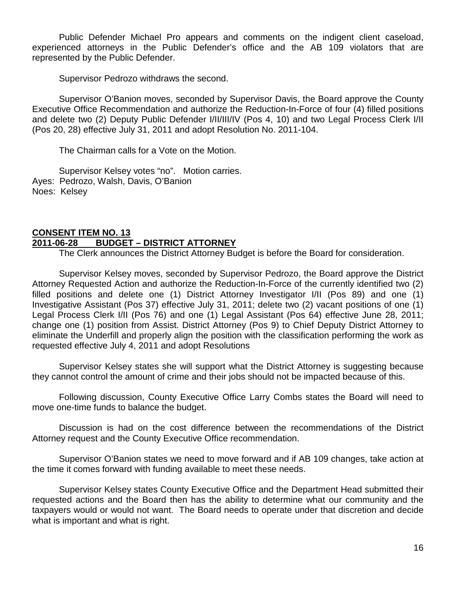Public Defender Michael Pro appears and comments on the indigent client caseload, experienced attorneys in the Public Defender's office and the AB 109 violators that are represented by the Public Defender.

Supervisor Pedrozo withdraws the second.

Supervisor O'Banion moves, seconded by Supervisor Davis, the Board approve the County Executive Office Recommendation and authorize the Reduction-In-Force of four (4) filled positions and delete two (2) Deputy Public Defender I/II/III/IV (Pos 4, 10) and two Legal Process Clerk I/II (Pos 20, 28) effective July 31, 2011 and adopt Resolution No. 2011-104.

The Chairman calls for a Vote on the Motion.

Supervisor Kelsey votes "no". Motion carries. Ayes: Pedrozo, Walsh, Davis, O'Banion Noes: Kelsey

#### **CONSENT ITEM NO. 13 2011-06-28 BUDGET – DISTRICT ATTORNEY**

The Clerk announces the District Attorney Budget is before the Board for consideration.

Supervisor Kelsey moves, seconded by Supervisor Pedrozo, the Board approve the District Attorney Requested Action and authorize the Reduction-In-Force of the currently identified two (2) filled positions and delete one (1) District Attorney Investigator I/II (Pos 89) and one (1) Investigative Assistant (Pos 37) effective July 31, 2011; delete two (2) vacant positions of one (1) Legal Process Clerk I/II (Pos 76) and one (1) Legal Assistant (Pos 64) effective June 28, 2011; change one (1) position from Assist. District Attorney (Pos 9) to Chief Deputy District Attorney to eliminate the Underfill and properly align the position with the classification performing the work as requested effective July 4, 2011 and adopt Resolutions

Supervisor Kelsey states she will support what the District Attorney is suggesting because they cannot control the amount of crime and their jobs should not be impacted because of this.

Following discussion, County Executive Office Larry Combs states the Board will need to move one-time funds to balance the budget.

Discussion is had on the cost difference between the recommendations of the District Attorney request and the County Executive Office recommendation.

Supervisor O'Banion states we need to move forward and if AB 109 changes, take action at the time it comes forward with funding available to meet these needs.

Supervisor Kelsey states County Executive Office and the Department Head submitted their requested actions and the Board then has the ability to determine what our community and the taxpayers would or would not want. The Board needs to operate under that discretion and decide what is important and what is right.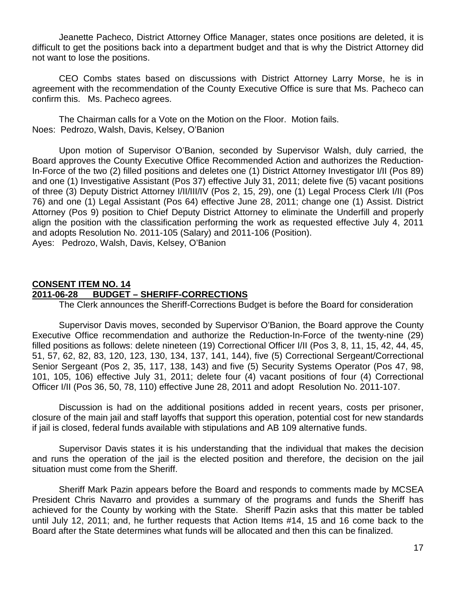Jeanette Pacheco, District Attorney Office Manager, states once positions are deleted, it is difficult to get the positions back into a department budget and that is why the District Attorney did not want to lose the positions.

CEO Combs states based on discussions with District Attorney Larry Morse, he is in agreement with the recommendation of the County Executive Office is sure that Ms. Pacheco can confirm this. Ms. Pacheco agrees.

The Chairman calls for a Vote on the Motion on the Floor. Motion fails. Noes: Pedrozo, Walsh, Davis, Kelsey, O'Banion

Upon motion of Supervisor O'Banion, seconded by Supervisor Walsh, duly carried, the Board approves the County Executive Office Recommended Action and authorizes the Reduction-In-Force of the two (2) filled positions and deletes one (1) District Attorney Investigator I/II (Pos 89) and one (1) Investigative Assistant (Pos 37) effective July 31, 2011; delete five (5) vacant positions of three (3) Deputy District Attorney I/II/III/IV (Pos 2, 15, 29), one (1) Legal Process Clerk I/II (Pos 76) and one (1) Legal Assistant (Pos 64) effective June 28, 2011; change one (1) Assist. District Attorney (Pos 9) position to Chief Deputy District Attorney to eliminate the Underfill and properly align the position with the classification performing the work as requested effective July 4, 2011 and adopts Resolution No. 2011-105 (Salary) and 2011-106 (Position). Ayes: Pedrozo, Walsh, Davis, Kelsey, O'Banion

#### **CONSENT ITEM NO. 14 2011-06-28 BUDGET – SHERIFF-CORRECTIONS**

The Clerk announces the Sheriff-Corrections Budget is before the Board for consideration

Supervisor Davis moves, seconded by Supervisor O'Banion, the Board approve the County Executive Office recommendation and authorize the Reduction-In-Force of the twenty-nine (29) filled positions as follows: delete nineteen (19) Correctional Officer I/II (Pos 3, 8, 11, 15, 42, 44, 45, 51, 57, 62, 82, 83, 120, 123, 130, 134, 137, 141, 144), five (5) Correctional Sergeant/Correctional Senior Sergeant (Pos 2, 35, 117, 138, 143) and five (5) Security Systems Operator (Pos 47, 98, 101, 105, 106) effective July 31, 2011; delete four (4) vacant positions of four (4) Correctional Officer I/II (Pos 36, 50, 78, 110) effective June 28, 2011 and adopt Resolution No. 2011-107.

Discussion is had on the additional positions added in recent years, costs per prisoner, closure of the main jail and staff layoffs that support this operation, potential cost for new standards if jail is closed, federal funds available with stipulations and AB 109 alternative funds.

Supervisor Davis states it is his understanding that the individual that makes the decision and runs the operation of the jail is the elected position and therefore, the decision on the jail situation must come from the Sheriff.

Sheriff Mark Pazin appears before the Board and responds to comments made by MCSEA President Chris Navarro and provides a summary of the programs and funds the Sheriff has achieved for the County by working with the State. Sheriff Pazin asks that this matter be tabled until July 12, 2011; and, he further requests that Action Items #14, 15 and 16 come back to the Board after the State determines what funds will be allocated and then this can be finalized.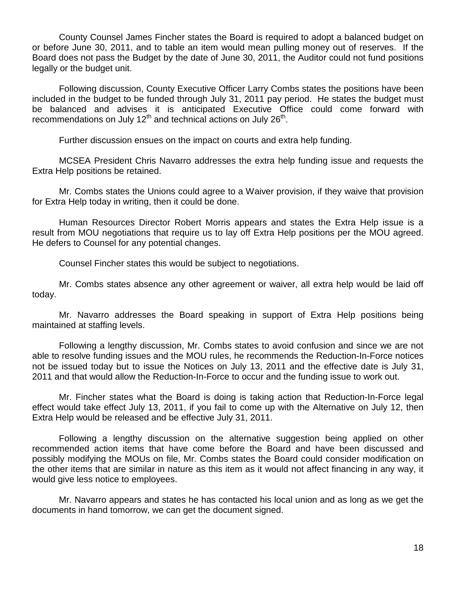County Counsel James Fincher states the Board is required to adopt a balanced budget on or before June 30, 2011, and to table an item would mean pulling money out of reserves. If the Board does not pass the Budget by the date of June 30, 2011, the Auditor could not fund positions legally or the budget unit.

Following discussion, County Executive Officer Larry Combs states the positions have been included in the budget to be funded through July 31, 2011 pay period. He states the budget must be balanced and advises it is anticipated Executive Office could come forward with recommendations on July 12<sup>th</sup> and technical actions on July 26<sup>th</sup>.

Further discussion ensues on the impact on courts and extra help funding.

MCSEA President Chris Navarro addresses the extra help funding issue and requests the Extra Help positions be retained.

Mr. Combs states the Unions could agree to a Waiver provision, if they waive that provision for Extra Help today in writing, then it could be done.

Human Resources Director Robert Morris appears and states the Extra Help issue is a result from MOU negotiations that require us to lay off Extra Help positions per the MOU agreed. He defers to Counsel for any potential changes.

Counsel Fincher states this would be subject to negotiations.

Mr. Combs states absence any other agreement or waiver, all extra help would be laid off today.

Mr. Navarro addresses the Board speaking in support of Extra Help positions being maintained at staffing levels.

Following a lengthy discussion, Mr. Combs states to avoid confusion and since we are not able to resolve funding issues and the MOU rules, he recommends the Reduction-In-Force notices not be issued today but to issue the Notices on July 13, 2011 and the effective date is July 31, 2011 and that would allow the Reduction-In-Force to occur and the funding issue to work out.

Mr. Fincher states what the Board is doing is taking action that Reduction-In-Force legal effect would take effect July 13, 2011, if you fail to come up with the Alternative on July 12, then Extra Help would be released and be effective July 31, 2011.

Following a lengthy discussion on the alternative suggestion being applied on other recommended action items that have come before the Board and have been discussed and possibly modifying the MOUs on file, Mr. Combs states the Board could consider modification on the other items that are similar in nature as this item as it would not affect financing in any way, it would give less notice to employees.

Mr. Navarro appears and states he has contacted his local union and as long as we get the documents in hand tomorrow, we can get the document signed.